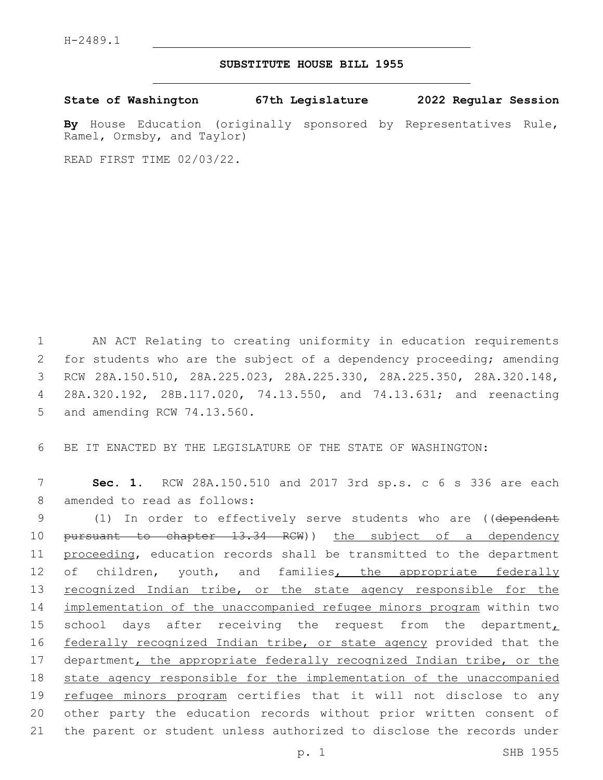## **SUBSTITUTE HOUSE BILL 1955**

**State of Washington 67th Legislature 2022 Regular Session**

**By** House Education (originally sponsored by Representatives Rule, Ramel, Ormsby, and Taylor)

READ FIRST TIME 02/03/22.

1 AN ACT Relating to creating uniformity in education requirements 2 for students who are the subject of a dependency proceeding; amending 3 RCW 28A.150.510, 28A.225.023, 28A.225.330, 28A.225.350, 28A.320.148, 4 28A.320.192, 28B.117.020, 74.13.550, and 74.13.631; and reenacting 5 and amending RCW 74.13.560.

6 BE IT ENACTED BY THE LEGISLATURE OF THE STATE OF WASHINGTON:

7 **Sec. 1.** RCW 28A.150.510 and 2017 3rd sp.s. c 6 s 336 are each 8 amended to read as follows:

9 (1) In order to effectively serve students who are ((dependent 10 pursuant to chapter 13.34 RCW)) the subject of a dependency 11 proceeding, education records shall be transmitted to the department 12 of children, youth, and families, the appropriate federally 13 recognized Indian tribe, or the state agency responsible for the 14 implementation of the unaccompanied refugee minors program within two 15 school days after receiving the request from the department, 16 federally recognized Indian tribe, or state agency provided that the 17 department, the appropriate federally recognized Indian tribe, or the 18 state agency responsible for the implementation of the unaccompanied 19 refugee minors program certifies that it will not disclose to any 20 other party the education records without prior written consent of 21 the parent or student unless authorized to disclose the records under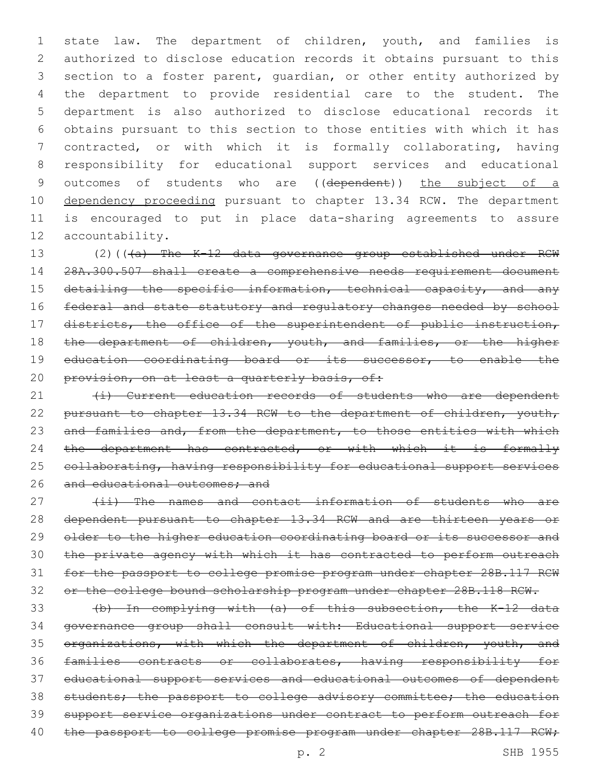state law. The department of children, youth, and families is authorized to disclose education records it obtains pursuant to this section to a foster parent, guardian, or other entity authorized by the department to provide residential care to the student. The department is also authorized to disclose educational records it obtains pursuant to this section to those entities with which it has contracted, or with which it is formally collaborating, having responsibility for educational support services and educational 9 outcomes of students who are ((dependent)) the subject of a 10 dependency proceeding pursuant to chapter 13.34 RCW. The department is encouraged to put in place data-sharing agreements to assure 12 accountability.

13 (2)(((a) The K-12 data governance group established under RCW 14 28A.300.507 shall create a comprehensive needs requirement document 15 detailing the specific information, technical capacity, and any 16 federal and state statutory and regulatory changes needed by school 17 districts, the office of the superintendent of public instruction, 18 the department of children, youth, and families, or the higher 19 education coordinating board or its successor, to enable the 20 provision, on at least a quarterly basis, of:

21 (i) Current education records of students who are dependent 22 pursuant to chapter 13.34 RCW to the department of children, youth, 23 and families and, from the department, to those entities with which 24 the department has contracted, or with which it is formally 25 collaborating, having responsibility for educational support services 26 and educational outcomes; and

27 (ii) The names and contact information of students who are dependent pursuant to chapter 13.34 RCW and are thirteen years or 29 older to the higher education coordinating board or its successor and the private agency with which it has contracted to perform outreach for the passport to college promise program under chapter 28B.117 RCW or the college bound scholarship program under chapter 28B.118 RCW.

 (b) In complying with (a) of this subsection, the K-12 data governance group shall consult with: Educational support service 35 organizations, with which the department of children, youth, and families contracts or collaborates, having responsibility for educational support services and educational outcomes of dependent 38 students; the passport to college advisory committee; the education support service organizations under contract to perform outreach for 40 the passport to college promise program under chapter 28B.117 RCW;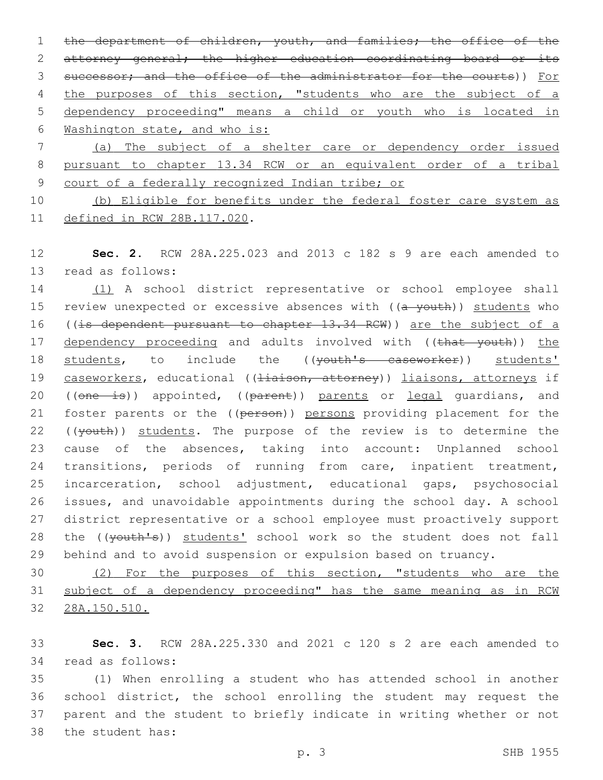1 the department of children, youth, and families; the office of the 2 attorney general; the higher education coordinating board or its 3 successor; and the office of the administrator for the courts)) For 4 the purposes of this section, "students who are the subject of a 5 dependency proceeding" means a child or youth who is located in 6 Washington state, and who is: 7 (a) The subject of a shelter care or dependency order issued

8 pursuant to chapter 13.34 RCW or an equivalent order of a tribal 9 court of a federally recognized Indian tribe; or

10 (b) Eligible for benefits under the federal foster care system as 11 defined in RCW 28B.117.020.

12 **Sec. 2.** RCW 28A.225.023 and 2013 c 182 s 9 are each amended to 13 read as follows:

14 (1) A school district representative or school employee shall 15 review unexpected or excessive absences with ((a youth)) students who 16 ((is dependent pursuant to chapter 13.34 RCW)) are the subject of a 17 dependency proceeding and adults involved with ((that youth)) the 18 students, to include the ((youth's caseworker)) students' 19 caseworkers, educational ((Hiaison, attorney)) liaisons, attorneys if 20 ((one is)) appointed, ((parent)) parents or legal guardians, and 21 foster parents or the ((person)) persons providing placement for the 22 ((youth)) students. The purpose of the review is to determine the 23 cause of the absences, taking into account: Unplanned school 24 transitions, periods of running from care, inpatient treatment, 25 incarceration, school adjustment, educational gaps, psychosocial 26 issues, and unavoidable appointments during the school day. A school 27 district representative or a school employee must proactively support 28 the ((youth's)) students' school work so the student does not fall 29 behind and to avoid suspension or expulsion based on truancy.

30 (2) For the purposes of this section, "students who are the 31 subject of a dependency proceeding" has the same meaning as in RCW 32 28A.150.510.

33 **Sec. 3.** RCW 28A.225.330 and 2021 c 120 s 2 are each amended to 34 read as follows:

 (1) When enrolling a student who has attended school in another school district, the school enrolling the student may request the parent and the student to briefly indicate in writing whether or not 38 the student has: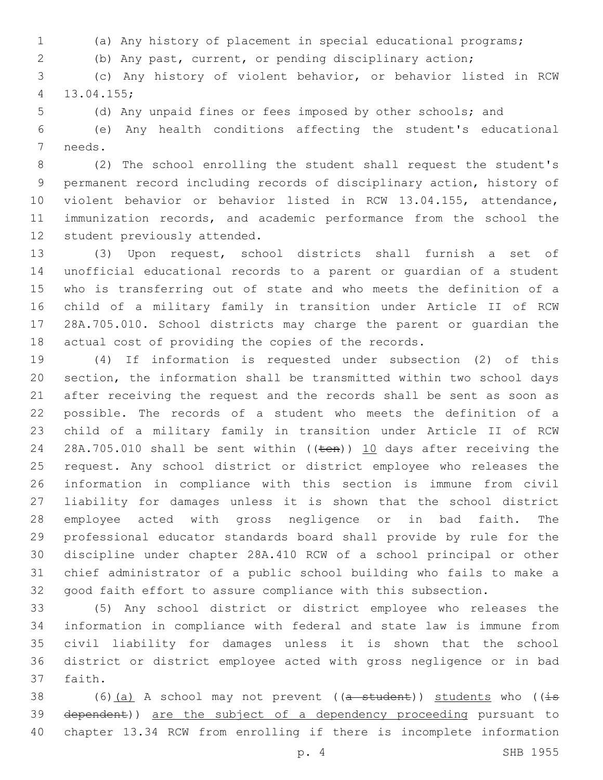- (a) Any history of placement in special educational programs;
- (b) Any past, current, or pending disciplinary action;

 (c) Any history of violent behavior, or behavior listed in RCW 13.04.155;4

(d) Any unpaid fines or fees imposed by other schools; and

 (e) Any health conditions affecting the student's educational 7 needs.

 (2) The school enrolling the student shall request the student's permanent record including records of disciplinary action, history of violent behavior or behavior listed in RCW 13.04.155, attendance, immunization records, and academic performance from the school the 12 student previously attended.

 (3) Upon request, school districts shall furnish a set of unofficial educational records to a parent or guardian of a student who is transferring out of state and who meets the definition of a child of a military family in transition under Article II of RCW 28A.705.010. School districts may charge the parent or guardian the actual cost of providing the copies of the records.

 (4) If information is requested under subsection (2) of this section, the information shall be transmitted within two school days after receiving the request and the records shall be sent as soon as possible. The records of a student who meets the definition of a child of a military family in transition under Article II of RCW 24 28A.705.010 shall be sent within ((ten)) 10 days after receiving the request. Any school district or district employee who releases the information in compliance with this section is immune from civil liability for damages unless it is shown that the school district employee acted with gross negligence or in bad faith. The professional educator standards board shall provide by rule for the discipline under chapter 28A.410 RCW of a school principal or other chief administrator of a public school building who fails to make a good faith effort to assure compliance with this subsection.

 (5) Any school district or district employee who releases the information in compliance with federal and state law is immune from civil liability for damages unless it is shown that the school district or district employee acted with gross negligence or in bad 37 faith.

38 (6)(a) A school may not prevent ( $(a - student)$ ) students who ( $(i\text{-}s$  dependent)) are the subject of a dependency proceeding pursuant to chapter 13.34 RCW from enrolling if there is incomplete information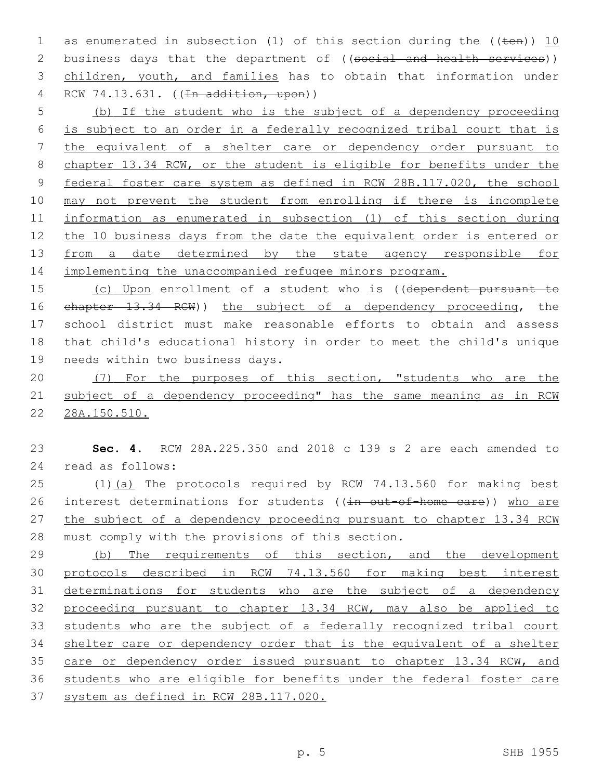1 as enumerated in subsection (1) of this section during the  $((\text{ten}))$  10 2 business days that the department of ((social and health services)) children, youth, and families has to obtain that information under 4 RCW 74.13.631. ((<del>In addition, upon</del>))

 (b) If the student who is the subject of a dependency proceeding is subject to an order in a federally recognized tribal court that is the equivalent of a shelter care or dependency order pursuant to chapter 13.34 RCW, or the student is eligible for benefits under the federal foster care system as defined in RCW 28B.117.020, the school may not prevent the student from enrolling if there is incomplete information as enumerated in subsection (1) of this section during the 10 business days from the date the equivalent order is entered or 13 from a date determined by the state agency responsible for implementing the unaccompanied refugee minors program.

15 (c) Upon enrollment of a student who is ((dependent pursuant to chapter 13.34 RCW)) the subject of a dependency proceeding, the school district must make reasonable efforts to obtain and assess that child's educational history in order to meet the child's unique 19 needs within two business days.

 (7) For the purposes of this section, "students who are the subject of a dependency proceeding" has the same meaning as in RCW 28A.150.510.

 **Sec. 4.** RCW 28A.225.350 and 2018 c 139 s 2 are each amended to read as follows:24

25 (1)(a) The protocols required by RCW 74.13.560 for making best 26 interest determinations for students ((in out-of-home care)) who are 27 the subject of a dependency proceeding pursuant to chapter 13.34 RCW 28 must comply with the provisions of this section.

29 (b) The requirements of this section, and the development protocols described in RCW 74.13.560 for making best interest 31 determinations for students who are the subject of a dependency proceeding pursuant to chapter 13.34 RCW, may also be applied to students who are the subject of a federally recognized tribal court shelter care or dependency order that is the equivalent of a shelter 35 care or dependency order issued pursuant to chapter 13.34 RCW, and students who are eligible for benefits under the federal foster care system as defined in RCW 28B.117.020.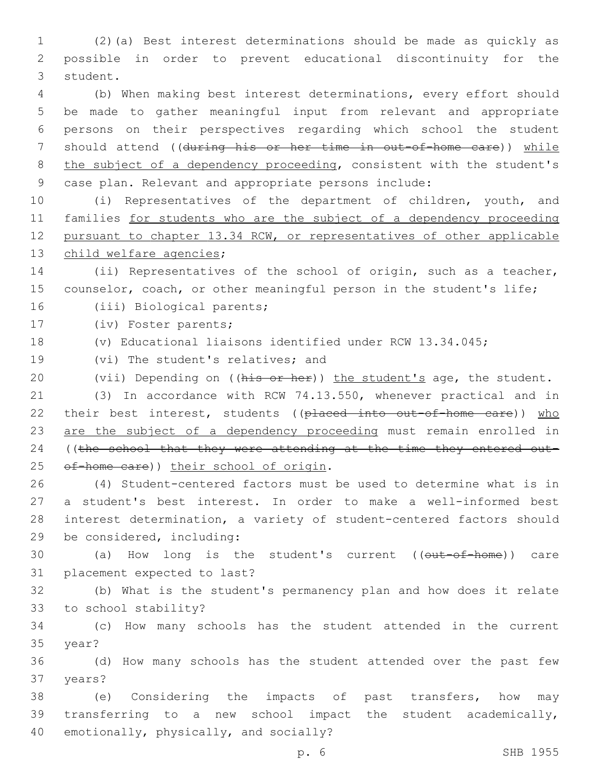1 (2)(a) Best interest determinations should be made as quickly as 2 possible in order to prevent educational discontinuity for the 3 student.

 (b) When making best interest determinations, every effort should be made to gather meaningful input from relevant and appropriate persons on their perspectives regarding which school the student 7 should attend ((during his or her time in out-of-home care)) while 8 the subject of a dependency proceeding, consistent with the student's case plan. Relevant and appropriate persons include:

 (i) Representatives of the department of children, youth, and families for students who are the subject of a dependency proceeding pursuant to chapter 13.34 RCW, or representatives of other applicable 13 child welfare agencies;

14 (ii) Representatives of the school of origin, such as a teacher, 15 counselor, coach, or other meaningful person in the student's life;

16 (iii) Biological parents;

17 (iv) Foster parents;

18 (v) Educational liaisons identified under RCW 13.34.045;

19 (vi) The student's relatives; and

20 (vii) Depending on ((his or her)) the student's age, the student.

21 (3) In accordance with RCW 74.13.550, whenever practical and in 22 their best interest, students ((placed into out-of-home care)) who 23 are the subject of a dependency proceeding must remain enrolled in 24 ((the school that they were attending at the time they entered out-25 of-home care)) their school of origin.

 (4) Student-centered factors must be used to determine what is in a student's best interest. In order to make a well-informed best interest determination, a variety of student-centered factors should 29 be considered, including:

30 (a) How long is the student's current ((out-of-home)) care 31 placement expected to last?

32 (b) What is the student's permanency plan and how does it relate 33 to school stability?

34 (c) How many schools has the student attended in the current 35 year?

36 (d) How many schools has the student attended over the past few 37 years?

38 (e) Considering the impacts of past transfers, how may 39 transferring to a new school impact the student academically, 40 emotionally, physically, and socially?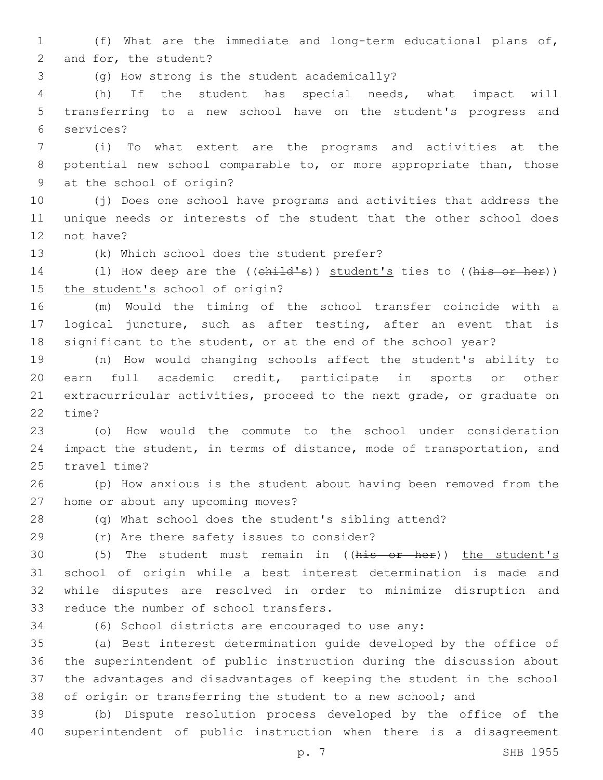1 (f) What are the immediate and long-term educational plans of, 2 and for, the student?

(g) How strong is the student academically?3

4 (h) If the student has special needs, what impact will 5 transferring to a new school have on the student's progress and services?6

7 (i) To what extent are the programs and activities at the 8 potential new school comparable to, or more appropriate than, those 9 at the school of origin?

10 (j) Does one school have programs and activities that address the 11 unique needs or interests of the student that the other school does 12 not have?

13 (k) Which school does the student prefer?

14 (1) How deep are the ((child's)) student's ties to ((his or her)) 15 the student's school of origin?

16 (m) Would the timing of the school transfer coincide with a 17 logical juncture, such as after testing, after an event that is 18 significant to the student, or at the end of the school year?

 (n) How would changing schools affect the student's ability to earn full academic credit, participate in sports or other extracurricular activities, proceed to the next grade, or graduate on 22 time?

23 (o) How would the commute to the school under consideration 24 impact the student, in terms of distance, mode of transportation, and 25 travel time?

26 (p) How anxious is the student about having been removed from the 27 home or about any upcoming moves?

28 (q) What school does the student's sibling attend?

(r) Are there safety issues to consider?29

30 (5) The student must remain in ((his or her)) the student's 31 school of origin while a best interest determination is made and 32 while disputes are resolved in order to minimize disruption and 33 reduce the number of school transfers.

34 (6) School districts are encouraged to use any:

 (a) Best interest determination guide developed by the office of the superintendent of public instruction during the discussion about the advantages and disadvantages of keeping the student in the school 38 of origin or transferring the student to a new school; and

39 (b) Dispute resolution process developed by the office of the 40 superintendent of public instruction when there is a disagreement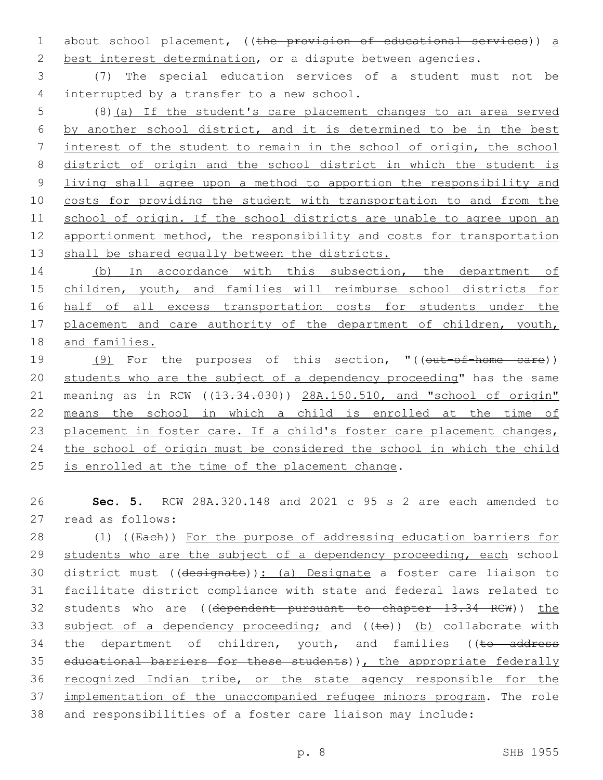1 about school placement, ((the provision of educational services)) a 2 best interest determination, or a dispute between agencies.

3 (7) The special education services of a student must not be 4 interrupted by a transfer to a new school.

 (8)(a) If the student's care placement changes to an area served by another school district, and it is determined to be in the best interest of the student to remain in the school of origin, the school district of origin and the school district in which the student is living shall agree upon a method to apportion the responsibility and 10 costs for providing the student with transportation to and from the school of origin. If the school districts are unable to agree upon an 12 apportionment method, the responsibility and costs for transportation 13 shall be shared equally between the districts.

14 (b) In accordance with this subsection, the department of 15 children, youth, and families will reimburse school districts for 16 half of all excess transportation costs for students under the 17 placement and care authority of the department of children, youth, 18 and families.

19 (9) For the purposes of this section, "((out-of-home care)) 20 students who are the subject of a dependency proceeding" has the same 21 meaning as in RCW ((13.34.030)) 28A.150.510, and "school of origin" 22 means the school in which a child is enrolled at the time of 23 placement in foster care. If a child's foster care placement changes, 24 the school of origin must be considered the school in which the child 25 is enrolled at the time of the placement change.

26 **Sec. 5.** RCW 28A.320.148 and 2021 c 95 s 2 are each amended to 27 read as follows:

28 (1) ((Each)) For the purpose of addressing education barriers for 29 students who are the subject of a dependency proceeding, each school 30 district must ((designate)): (a) Designate a foster care liaison to 31 facilitate district compliance with state and federal laws related to 32 students who are ((dependent pursuant to chapter 13.34 RCW)) the 33 subject of a dependency proceeding; and  $((\pm e))$  (b) collaborate with 34 the department of children, youth, and families ((to address 35 educational barriers for these students)), the appropriate federally 36 recognized Indian tribe, or the state agency responsible for the 37 implementation of the unaccompanied refugee minors program. The role 38 and responsibilities of a foster care liaison may include: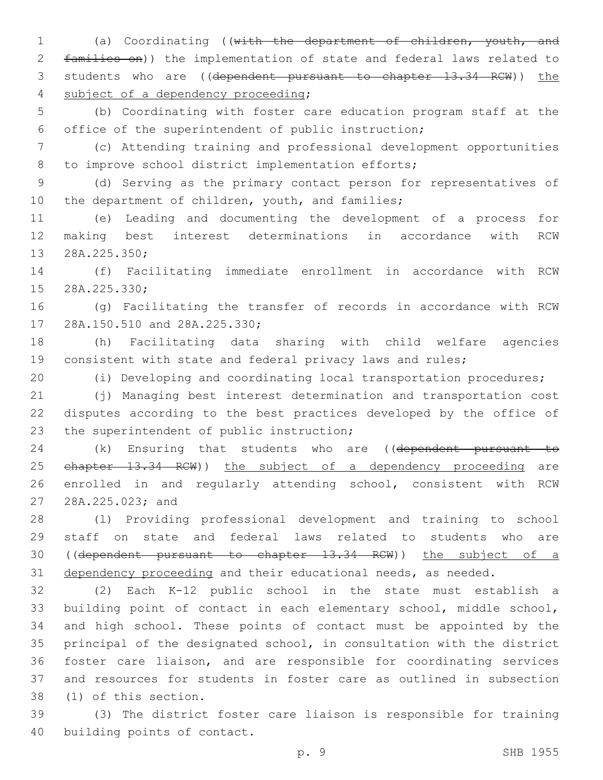(a) Coordinating ((with the department of children, youth, and families on)) the implementation of state and federal laws related to 3 students who are ((dependent pursuant to chapter 13.34 RCW)) the 4 subject of a dependency proceeding;

 (b) Coordinating with foster care education program staff at the office of the superintendent of public instruction;

 (c) Attending training and professional development opportunities 8 to improve school district implementation efforts;

 (d) Serving as the primary contact person for representatives of 10 the department of children, youth, and families;

 (e) Leading and documenting the development of a process for making best interest determinations in accordance with RCW 13 28A.225.350;

 (f) Facilitating immediate enrollment in accordance with RCW 15 28A.225.330;

 (g) Facilitating the transfer of records in accordance with RCW 17 28A.150.510 and 28A.225.330;

 (h) Facilitating data sharing with child welfare agencies consistent with state and federal privacy laws and rules;

(i) Developing and coordinating local transportation procedures;

 (j) Managing best interest determination and transportation cost disputes according to the best practices developed by the office of 23 the superintendent of public instruction;

24 (k) Ensuring that students who are ((dependent pursuant to 25 ehapter 13.34 RCW)) the subject of a dependency proceeding are enrolled in and regularly attending school, consistent with RCW 27 28A.225.023; and

 (l) Providing professional development and training to school staff on state and federal laws related to students who are ((dependent pursuant to chapter 13.34 RCW)) the subject of a 31 dependency proceeding and their educational needs, as needed.

 (2) Each K-12 public school in the state must establish a building point of contact in each elementary school, middle school, and high school. These points of contact must be appointed by the principal of the designated school, in consultation with the district foster care liaison, and are responsible for coordinating services and resources for students in foster care as outlined in subsection 38 (1) of this section.

 (3) The district foster care liaison is responsible for training 40 building points of contact.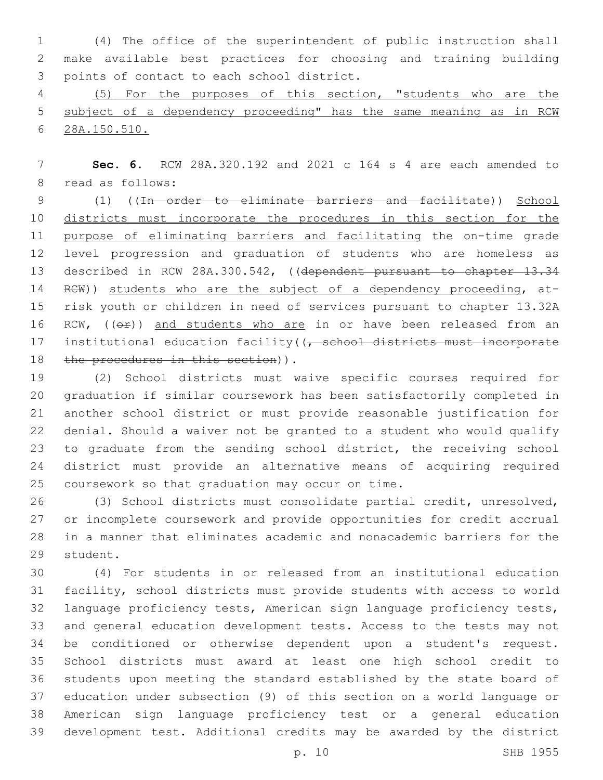(4) The office of the superintendent of public instruction shall make available best practices for choosing and training building 3 points of contact to each school district.

 (5) For the purposes of this section, "students who are the subject of a dependency proceeding" has the same meaning as in RCW 28A.150.510.

 **Sec. 6.** RCW 28A.320.192 and 2021 c 164 s 4 are each amended to 8 read as follows:

 (1) ((In order to eliminate barriers and facilitate)) School districts must incorporate the procedures in this section for the purpose of eliminating barriers and facilitating the on-time grade level progression and graduation of students who are homeless as 13 described in RCW 28A.300.542, ((dependent pursuant to chapter 13.34 14 RCW)) students who are the subject of a dependency proceeding, at- risk youth or children in need of services pursuant to chapter 13.32A 16 RCW, ((OP)) and students who are in or have been released from an 17 institutional education facility((<del>, school districts must incorporate</del> 18 the procedures in this section)).

 (2) School districts must waive specific courses required for graduation if similar coursework has been satisfactorily completed in another school district or must provide reasonable justification for denial. Should a waiver not be granted to a student who would qualify to graduate from the sending school district, the receiving school district must provide an alternative means of acquiring required 25 coursework so that graduation may occur on time.

 (3) School districts must consolidate partial credit, unresolved, or incomplete coursework and provide opportunities for credit accrual in a manner that eliminates academic and nonacademic barriers for the 29 student.

 (4) For students in or released from an institutional education facility, school districts must provide students with access to world language proficiency tests, American sign language proficiency tests, and general education development tests. Access to the tests may not be conditioned or otherwise dependent upon a student's request. School districts must award at least one high school credit to students upon meeting the standard established by the state board of education under subsection (9) of this section on a world language or American sign language proficiency test or a general education development test. Additional credits may be awarded by the district

p. 10 SHB 1955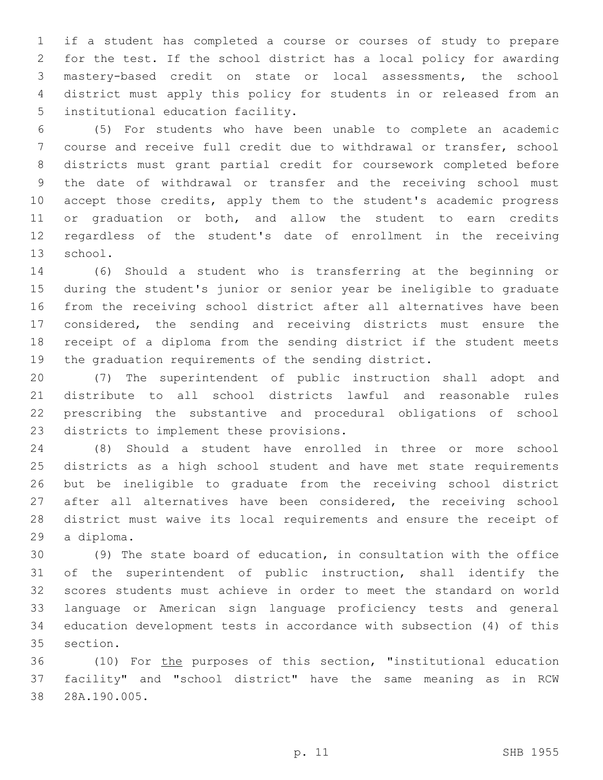if a student has completed a course or courses of study to prepare for the test. If the school district has a local policy for awarding mastery-based credit on state or local assessments, the school district must apply this policy for students in or released from an 5 institutional education facility.

 (5) For students who have been unable to complete an academic course and receive full credit due to withdrawal or transfer, school districts must grant partial credit for coursework completed before the date of withdrawal or transfer and the receiving school must accept those credits, apply them to the student's academic progress or graduation or both, and allow the student to earn credits regardless of the student's date of enrollment in the receiving 13 school.

 (6) Should a student who is transferring at the beginning or during the student's junior or senior year be ineligible to graduate from the receiving school district after all alternatives have been considered, the sending and receiving districts must ensure the receipt of a diploma from the sending district if the student meets the graduation requirements of the sending district.

 (7) The superintendent of public instruction shall adopt and distribute to all school districts lawful and reasonable rules prescribing the substantive and procedural obligations of school 23 districts to implement these provisions.

 (8) Should a student have enrolled in three or more school districts as a high school student and have met state requirements but be ineligible to graduate from the receiving school district 27 after all alternatives have been considered, the receiving school district must waive its local requirements and ensure the receipt of 29 a diploma.

 (9) The state board of education, in consultation with the office of the superintendent of public instruction, shall identify the scores students must achieve in order to meet the standard on world language or American sign language proficiency tests and general education development tests in accordance with subsection (4) of this 35 section.

 (10) For the purposes of this section, "institutional education facility" and "school district" have the same meaning as in RCW 28A.190.005.38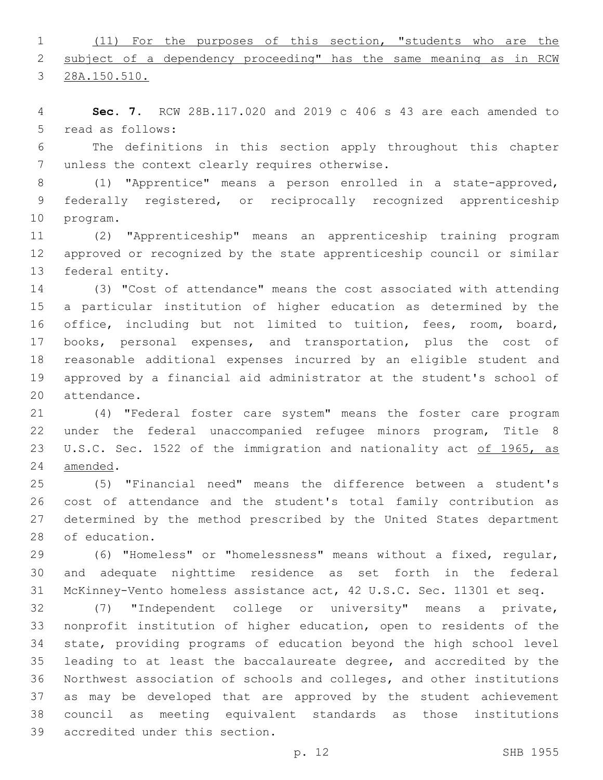(11) For the purposes of this section, "students who are the 2 subject of a dependency proceeding" has the same meaning as in RCW

28A.150.510.

 **Sec. 7.** RCW 28B.117.020 and 2019 c 406 s 43 are each amended to 5 read as follows:

 The definitions in this section apply throughout this chapter 7 unless the context clearly requires otherwise.

 (1) "Apprentice" means a person enrolled in a state-approved, federally registered, or reciprocally recognized apprenticeship 10 program.

 (2) "Apprenticeship" means an apprenticeship training program approved or recognized by the state apprenticeship council or similar 13 federal entity.

 (3) "Cost of attendance" means the cost associated with attending a particular institution of higher education as determined by the office, including but not limited to tuition, fees, room, board, books, personal expenses, and transportation, plus the cost of reasonable additional expenses incurred by an eligible student and approved by a financial aid administrator at the student's school of 20 attendance.

 (4) "Federal foster care system" means the foster care program under the federal unaccompanied refugee minors program, Title 8 23 U.S.C. Sec. 1522 of the immigration and nationality act of 1965, as 24 amended.

 (5) "Financial need" means the difference between a student's cost of attendance and the student's total family contribution as determined by the method prescribed by the United States department 28 of education.

 (6) "Homeless" or "homelessness" means without a fixed, regular, and adequate nighttime residence as set forth in the federal McKinney-Vento homeless assistance act, 42 U.S.C. Sec. 11301 et seq.

 (7) "Independent college or university" means a private, nonprofit institution of higher education, open to residents of the state, providing programs of education beyond the high school level leading to at least the baccalaureate degree, and accredited by the Northwest association of schools and colleges, and other institutions as may be developed that are approved by the student achievement council as meeting equivalent standards as those institutions 39 accredited under this section.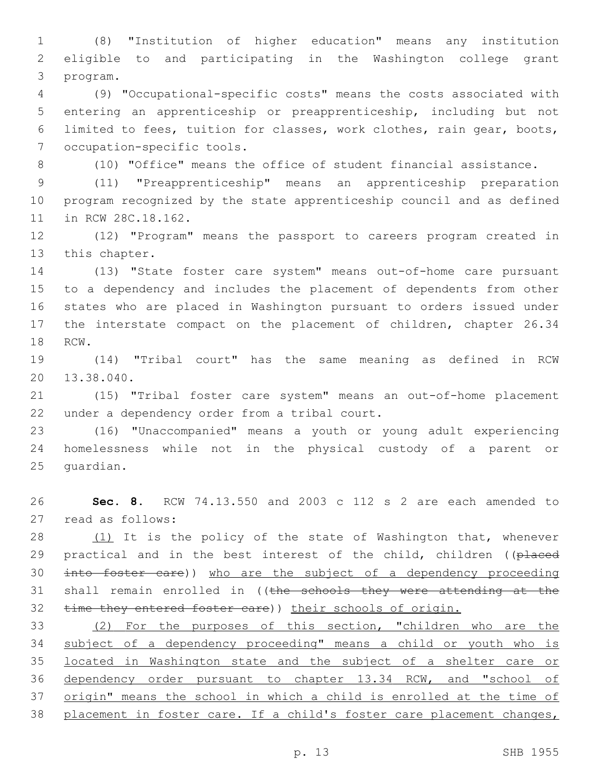(8) "Institution of higher education" means any institution eligible to and participating in the Washington college grant 3 program.

 (9) "Occupational-specific costs" means the costs associated with entering an apprenticeship or preapprenticeship, including but not limited to fees, tuition for classes, work clothes, rain gear, boots, 7 occupation-specific tools.

(10) "Office" means the office of student financial assistance.

 (11) "Preapprenticeship" means an apprenticeship preparation program recognized by the state apprenticeship council and as defined 11 in RCW 28C.18.162.

 (12) "Program" means the passport to careers program created in 13 this chapter.

 (13) "State foster care system" means out-of-home care pursuant to a dependency and includes the placement of dependents from other states who are placed in Washington pursuant to orders issued under the interstate compact on the placement of children, chapter 26.34 18 RCW.

 (14) "Tribal court" has the same meaning as defined in RCW 20 13.38.040.

 (15) "Tribal foster care system" means an out-of-home placement 22 under a dependency order from a tribal court.

 (16) "Unaccompanied" means a youth or young adult experiencing homelessness while not in the physical custody of a parent or 25 quardian.

 **Sec. 8.** RCW 74.13.550 and 2003 c 112 s 2 are each amended to 27 read as follows:

28 (1) It is the policy of the state of Washington that, whenever 29 practical and in the best interest of the child, children ((placed into foster care)) who are the subject of a dependency proceeding 31 shall remain enrolled in ((the schools they were attending at the 32 time they entered foster care)) their schools of origin.

 (2) For the purposes of this section, "children who are the subject of a dependency proceeding" means a child or youth who is located in Washington state and the subject of a shelter care or dependency order pursuant to chapter 13.34 RCW, and "school of 37 origin" means the school in which a child is enrolled at the time of placement in foster care. If a child's foster care placement changes,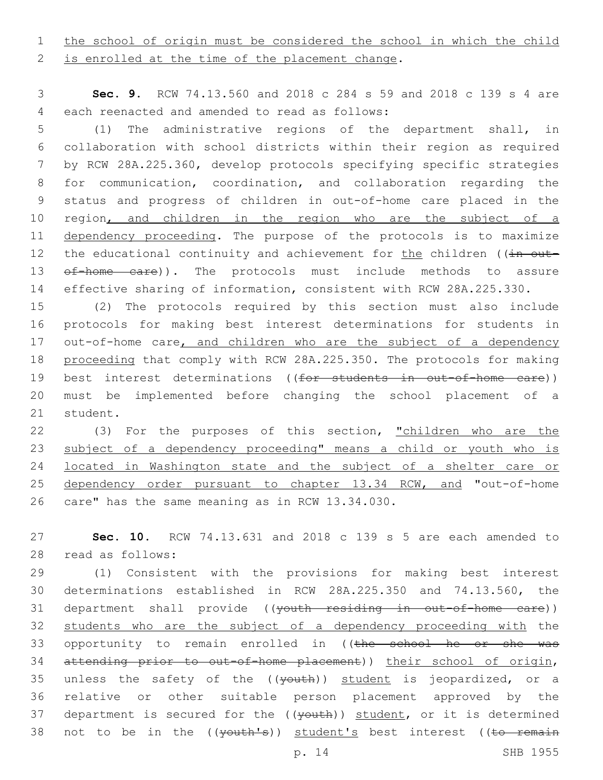1 the school of origin must be considered the school in which the child

2 is enrolled at the time of the placement change.

3 **Sec. 9.** RCW 74.13.560 and 2018 c 284 s 59 and 2018 c 139 s 4 are each reenacted and amended to read as follows:4

 (1) The administrative regions of the department shall, in collaboration with school districts within their region as required by RCW 28A.225.360, develop protocols specifying specific strategies for communication, coordination, and collaboration regarding the status and progress of children in out-of-home care placed in the 10 region, and children in the region who are the subject of a dependency proceeding. The purpose of the protocols is to maximize 12 the educational continuity and achievement for the children ((in out-13 of-home care)). The protocols must include methods to assure effective sharing of information, consistent with RCW 28A.225.330.

15 (2) The protocols required by this section must also include 16 protocols for making best interest determinations for students in 17 out-of-home care, and children who are the subject of a dependency 18 proceeding that comply with RCW 28A.225.350. The protocols for making 19 best interest determinations ((for students in out-of-home care)) 20 must be implemented before changing the school placement of a 21 student.

22 (3) For the purposes of this section, "children who are the 23 subject of a dependency proceeding" means a child or youth who is 24 located in Washington state and the subject of a shelter care or 25 dependency order pursuant to chapter 13.34 RCW, and "out-of-home 26 care" has the same meaning as in RCW 13.34.030.

27 **Sec. 10.** RCW 74.13.631 and 2018 c 139 s 5 are each amended to 28 read as follows:

29 (1) Consistent with the provisions for making best interest 30 determinations established in RCW 28A.225.350 and 74.13.560, the 31 department shall provide ((youth residing in out-of-home care)) 32 students who are the subject of a dependency proceeding with the 33 opportunity to remain enrolled in ((the school he or she was 34 attending prior to out-of-home placement)) their school of origin, 35 unless the safety of the  $((\text{youth}))$  student is jeopardized, or a 36 relative or other suitable person placement approved by the 37 department is secured for the ((youth)) student, or it is determined 38 not to be in the ((vouth's)) student's best interest ((to remain